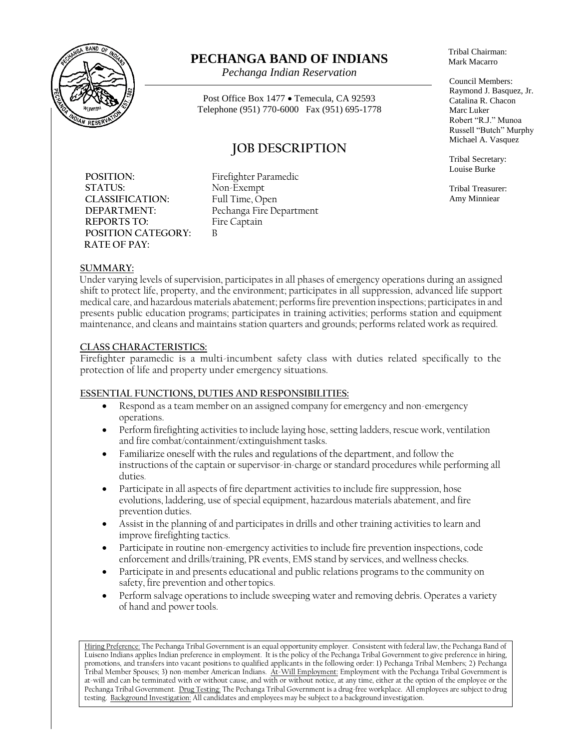

# **PECHANGA BAND OF INDIANS**

*Pechanga Indian Reservation*

Post Office Box 1477 • Temecula, CA 92593 Telephone (951) 770-6000 Fax (951) 695-1778

## **JOB DESCRIPTION**

**POSITION:** Firefighter Paramedic STATUS: Non-Exempt **CLASSIFICATION:** Full Time, Open **REPORTS TO:** Fire Captain **POSITION CATEGORY:** B **RATE OF PAY:**

**DEPARTMENT:** Pechanga Fire Department

Tribal Chairman: Mark Macarro

Council Members: Raymond J. Basquez, Jr. Catalina R. Chacon Marc Luker Robert "R.J." Munoa Russell "Butch" Murphy Michael A. Vasquez

Tribal Secretary: Louise Burke

Tribal Treasurer: Amy Minniear

### **SUMMARY:**

Under varying levels of supervision, participates in all phases of emergency operations during an assigned shift to protect life, property, and the environment; participates in all suppression, advanced life support medical care, and hazardous materials abatement; performs fire prevention inspections; participates in and presents public education programs; participates in training activities; performs station and equipment maintenance, and cleans and maintains station quarters and grounds; performs related work as required.

### **CLASS CHARACTERISTICS:**

Firefighter paramedic is a multi-incumbent safety class with duties related specifically to the protection of life and property under emergency situations.

### **ESSENTIAL FUNCTIONS, DUTIES AND RESPONSIBILITIES:**

- Respond as a team member on an assigned company for emergency and non-emergency operations.
- Perform firefighting activities to include laying hose, setting ladders, rescue work, ventilation and fire combat/containment/extinguishment tasks.
- Familiarize oneself with the rules and regulations of the department, and follow the instructions of the captain or supervisor-in-charge or standard procedures while performing all duties.
- Participate in all aspects of fire department activities to include fire suppression, hose evolutions, laddering, use of special equipment, hazardous materials abatement, and fire prevention duties.
- Assist in the planning of and participates in drills and other training activities to learn and improve firefighting tactics.
- Participate in routine non-emergency activities to include fire prevention inspections, code enforcement and drills/training, PR events, EMS stand by services, and wellness checks.
- Participate in and presents educational and public relations programs to the community on safety, fire prevention and other topics.
- Perform salvage operations to include sweeping water and removing debris. Operates a variety of hand and power tools.

Hiring Preference: The Pechanga Tribal Government is an equal opportunity employer. Consistent with federal law, the Pechanga Band of Luiseno Indians applies Indian preference in employment. It is the policy of the Pechanga Tribal Government to give preference in hiring, promotions, and transfers into vacant positions to qualified applicants in the following order: 1) Pechanga Tribal Members; 2) Pechanga Tribal Member Spouses; 3) non-member American Indians. At-Will Employment: Employment with the Pechanga Tribal Government is at-will and can be terminated with or without cause, and with or without notice, at any time, either at the option of the employee or the Pechanga Tribal Government. Drug Testing: The Pechanga Tribal Government is a drug-free workplace. All employees are subject to drug testing. Background Investigation: All candidates and employees may be subject to a background investigation.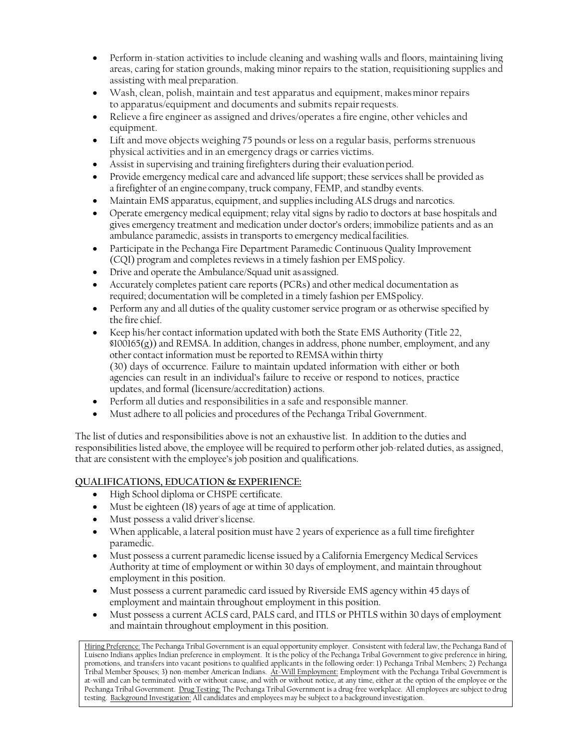- Perform in-station activities to include cleaning and washing walls and floors, maintaining living areas, caring for station grounds, making minor repairs to the station, requisitioning supplies and assisting with meal preparation.
- Wash, clean, polish, maintain and test apparatus and equipment, makesminor repairs to apparatus/equipment and documents and submits repair requests.
- Relieve a fire engineer as assigned and drives/operates a fire engine, other vehicles and equipment.
- Lift and move objects weighing 75 pounds or less on a regular basis, performs strenuous physical activities and in an emergency drags or carries victims.
- Assist in supervising and training firefighters during their evaluationperiod.
- Provide emergency medical care and advanced life support; these services shall be provided as a firefighter of an engine company, truck company, FEMP, and standby events.
- Maintain EMS apparatus, equipment, and supplies including ALS drugs and narcotics.
- Operate emergency medical equipment; relay vital signs by radio to doctors at base hospitals and gives emergency treatment and medication under doctor's orders; immobilize patients and as an ambulance paramedic, assists in transports to emergency medicalfacilities.
- Participate in the Pechanga Fire Department Paramedic Continuous Quality Improvement (CQI) program and completes reviews in a timely fashion per EMSpolicy.
- Drive and operate the Ambulance/Squad unit as assigned.
- Accurately completes patient care reports (PCRs) and other medical documentation as required; documentation will be completed in a timely fashion per EMSpolicy.
- Perform any and all duties of the quality customer service program or as otherwise specified by the fire chief.
- Keep his/her contact information updated with both the State EMS Authority (Title 22,  $$100165(g)$ ) and REMSA. In addition, changes in address, phone number, employment, and any other contact information must be reported to REMSA within thirty (30) days of occurrence. Failure to maintain updated information with either or both agencies can result in an individual's failure to receive or respond to notices, practice updates, and formal (licensure/accreditation) actions.
- Perform all duties and responsibilities in a safe and responsible manner.
- Must adhere to all policies and procedures of the Pechanga Tribal Government.

The list of duties and responsibilities above is not an exhaustive list. In addition to the duties and responsibilities listed above, the employee will be required to perform other job-related duties, as assigned, that are consistent with the employee's job position and qualifications.

### **QUALIFICATIONS, EDUCATION & EXPERIENCE:**

- High School diploma or CHSPE certificate.
- Must be eighteen (18) years of age at time of application.
- Must possess a valid driver'slicense.
- When applicable, a lateral position must have 2 years of experience as a full time firefighter paramedic.
- Must possess a current paramedic license issued by a California Emergency Medical Services Authority at time of employment or within 30 days of employment, and maintain throughout employment in this position.
- Must possess a current paramedic card issued by Riverside EMS agency within 45 days of employment and maintain throughout employment in this position.
- Must possess a current ACLS card, PALS card, and ITLS or PHTLS within 30 days of employment and maintain throughout employment in this position.

Hiring Preference: The Pechanga Tribal Government is an equal opportunity employer. Consistent with federal law, the Pechanga Band of Luiseno Indians applies Indian preference in employment. It is the policy of the Pechanga Tribal Government to give preference in hiring, promotions, and transfers into vacant positions to qualified applicants in the following order: 1) Pechanga Tribal Members; 2) Pechanga Tribal Member Spouses; 3) non-member American Indians. At-Will Employment: Employment with the Pechanga Tribal Government is at-will and can be terminated with or without cause, and with or without notice, at any time, either at the option of the employee or the Pechanga Tribal Government. Drug Testing: The Pechanga Tribal Government is a drug-free workplace. All employees are subject to drug testing. Background Investigation: All candidates and employees may be subject to a background investigation.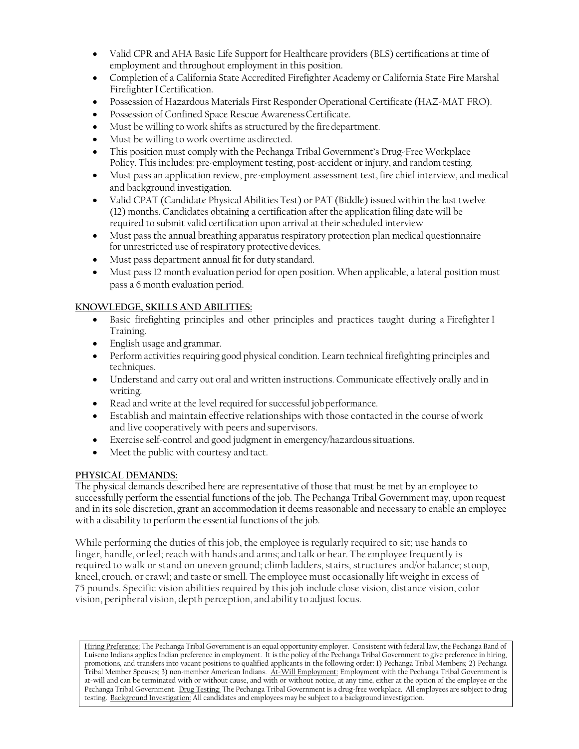- Valid CPR and AHA Basic Life Support for Healthcare providers (BLS) certifications at time of employment and throughout employment in this position.
- Completion of a California State Accredited Firefighter Academy or California State Fire Marshal Firefighter ICertification.
- Possession of Hazardous Materials First Responder Operational Certificate (HAZ-MAT FRO).
- Possession of Confined Space Rescue Awareness Certificate.
- Must be willing to work shifts as structured by the fire department.
- Must be willing to work overtime as directed.
- This position must comply with the Pechanga Tribal Government's Drug-Free Workplace Policy. Thisincludes: pre-employment testing, post-accident orinjury, and random testing.
- Must pass an application review, pre-employment assessment test, fire chief interview, and medical and background investigation.
- Valid CPAT (Candidate Physical Abilities Test) or PAT (Biddle) issued within the last twelve (12) months. Candidates obtaining a certification after the application filing date will be required to submit valid certification upon arrival at their scheduled interview
- Must pass the annual breathing apparatus respiratory protection plan medical questionnaire for unrestricted use of respiratory protective devices.
- Must pass department annual fit for duty standard.
- Must pass 12 month evaluation period for open position. When applicable, a lateral position must pass a 6 month evaluation period.

### **KNOWLEDGE, SKILLS AND ABILITIES:**

- Basic firefighting principles and other principles and practices taught during a Firefighter I Training.
- English usage and grammar.
- Perform activities requiring good physical condition. Learn technical firefighting principles and techniques.
- Understand and carry out oral and written instructions. Communicate effectively orally and in writing.
- Read and write at the level required for successful job performance.
- Establish and maintain effective relationships with those contacted in the course ofwork and live cooperatively with peers and supervisors.
- Exercise self-control and good judgment in emergency/hazardoussituations.
- Meet the public with courtesy and tact.

### **PHYSICAL DEMANDS:**

The physical demands described here are representative of those that must be met by an employee to successfully perform the essential functions of the job. The Pechanga Tribal Government may, upon request and in its sole discretion, grant an accommodation it deems reasonable and necessary to enable an employee with a disability to perform the essential functions of the job.

While performing the duties of this job, the employee is regularly required to sit; use hands to finger, handle, orfeel; reach with hands and arms; and talk or hear. The employee frequently is required to walk or stand on uneven ground; climb ladders, stairs, structures and/or balance; stoop, kneel, crouch, or crawl; and taste or smell. The employee must occasionally lift weight in excess of 75 pounds. Specific vision abilities required by this job include close vision, distance vision, color vision, peripheral vision, depth perception, and ability to adjustfocus.

Hiring Preference: The Pechanga Tribal Government is an equal opportunity employer. Consistent with federal law, the Pechanga Band of Luiseno Indians applies Indian preference in employment. It is the policy of the Pechanga Tribal Government to give preference in hiring, promotions, and transfers into vacant positions to qualified applicants in the following order: 1) Pechanga Tribal Members; 2) Pechanga Tribal Member Spouses; 3) non-member American Indians. At-Will Employment: Employment with the Pechanga Tribal Government is at-will and can be terminated with or without cause, and with or without notice, at any time, either at the option of the employee or the Pechanga Tribal Government. Drug Testing: The Pechanga Tribal Government is a drug-free workplace. All employees are subject to drug testing. Background Investigation: All candidates and employees may be subject to a background investigation.